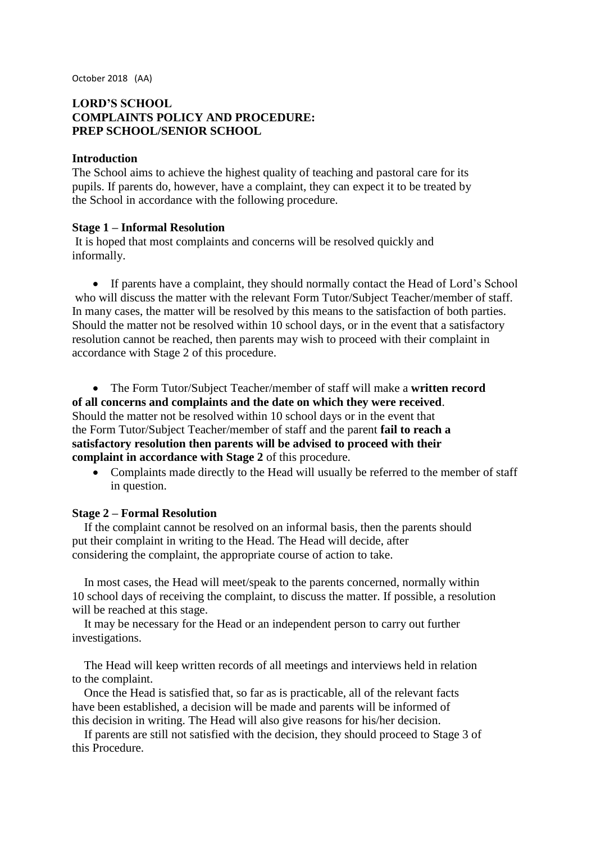October 2018 (AA)

# **LORD'S SCHOOL COMPLAINTS POLICY AND PROCEDURE: PREP SCHOOL/SENIOR SCHOOL**

## **Introduction**

The School aims to achieve the highest quality of teaching and pastoral care for its pupils. If parents do, however, have a complaint, they can expect it to be treated by the School in accordance with the following procedure.

### **Stage 1 – Informal Resolution**

It is hoped that most complaints and concerns will be resolved quickly and informally.

• If parents have a complaint, they should normally contact the Head of Lord's School who will discuss the matter with the relevant Form Tutor/Subject Teacher/member of staff. In many cases, the matter will be resolved by this means to the satisfaction of both parties. Should the matter not be resolved within 10 school days, or in the event that a satisfactory resolution cannot be reached, then parents may wish to proceed with their complaint in accordance with Stage 2 of this procedure.

• The Form Tutor/Subject Teacher/member of staff will make a **written record of all concerns and complaints and the date on which they were received**. Should the matter not be resolved within 10 school days or in the event that the Form Tutor/Subject Teacher/member of staff and the parent **fail to reach a satisfactory resolution then parents will be advised to proceed with their complaint in accordance with Stage 2** of this procedure.

• Complaints made directly to the Head will usually be referred to the member of staff in question.

### **Stage 2 – Formal Resolution**

If the complaint cannot be resolved on an informal basis, then the parents should put their complaint in writing to the Head. The Head will decide, after considering the complaint, the appropriate course of action to take.

In most cases, the Head will meet/speak to the parents concerned, normally within 10 school days of receiving the complaint, to discuss the matter. If possible, a resolution will be reached at this stage.

It may be necessary for the Head or an independent person to carry out further investigations.

The Head will keep written records of all meetings and interviews held in relation to the complaint.

Once the Head is satisfied that, so far as is practicable, all of the relevant facts have been established, a decision will be made and parents will be informed of this decision in writing. The Head will also give reasons for his/her decision.

If parents are still not satisfied with the decision, they should proceed to Stage 3 of this Procedure.